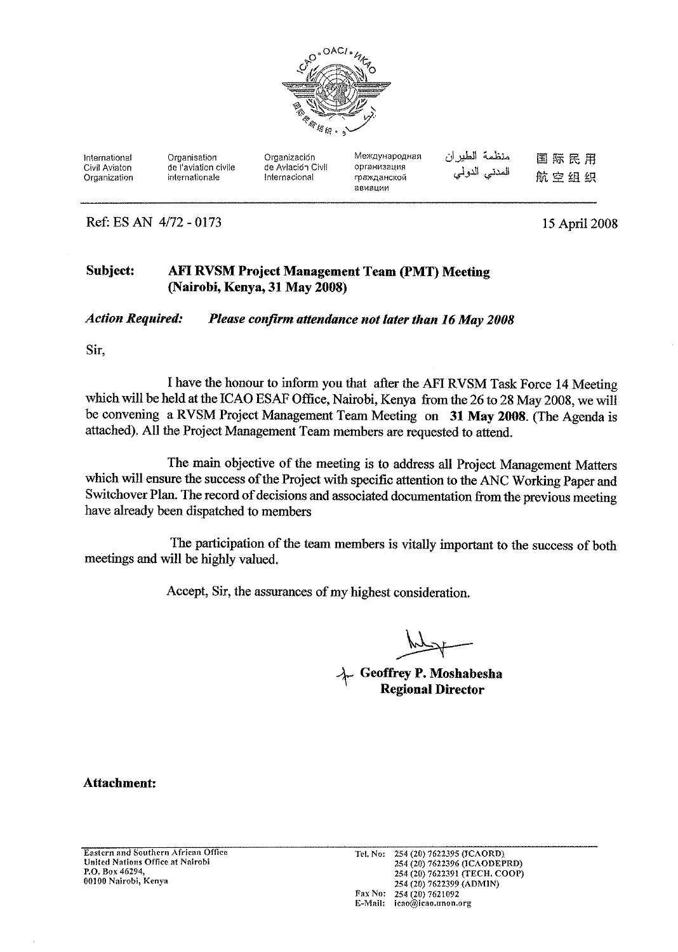

| International | Organisation         | Organización      | Международная | منظمة الطيران | 国际民用 |
|---------------|----------------------|-------------------|---------------|---------------|------|
| Civil Aviaton | de l'aviation civile | de Aviación Civil | организация   | المدني الدولي |      |
| Organization  | internationale       | Internacional     | гражданской   |               | 航空组织 |
|               |                      |                   | авиации       |               |      |

Ref: ES AN 4/72 - 0173

15 April 2008

#### Subject: **AFI RVSM Project Management Team (PMT) Meeting** (Nairobi, Kenya, 31 May 2008)

**Action Required:** Please confirm attendance not later than 16 May 2008

Sir,

I have the honour to inform you that after the AFI RVSM Task Force 14 Meeting which will be held at the ICAO ESAF Office, Nairobi, Kenya from the 26 to 28 May 2008, we will be convening a RVSM Project Management Team Meeting on 31 May 2008. (The Agenda is attached). All the Project Management Team members are requested to attend.

The main objective of the meeting is to address all Project Management Matters which will ensure the success of the Project with specific attention to the ANC Working Paper and Switchover Plan. The record of decisions and associated documentation from the previous meeting have already been dispatched to members

The participation of the team members is vitally important to the success of both meetings and will be highly valued.

Accept, Sir, the assurances of my highest consideration.

Geoffrey P. Moshabesha<br>Regional Director

**Attachment:**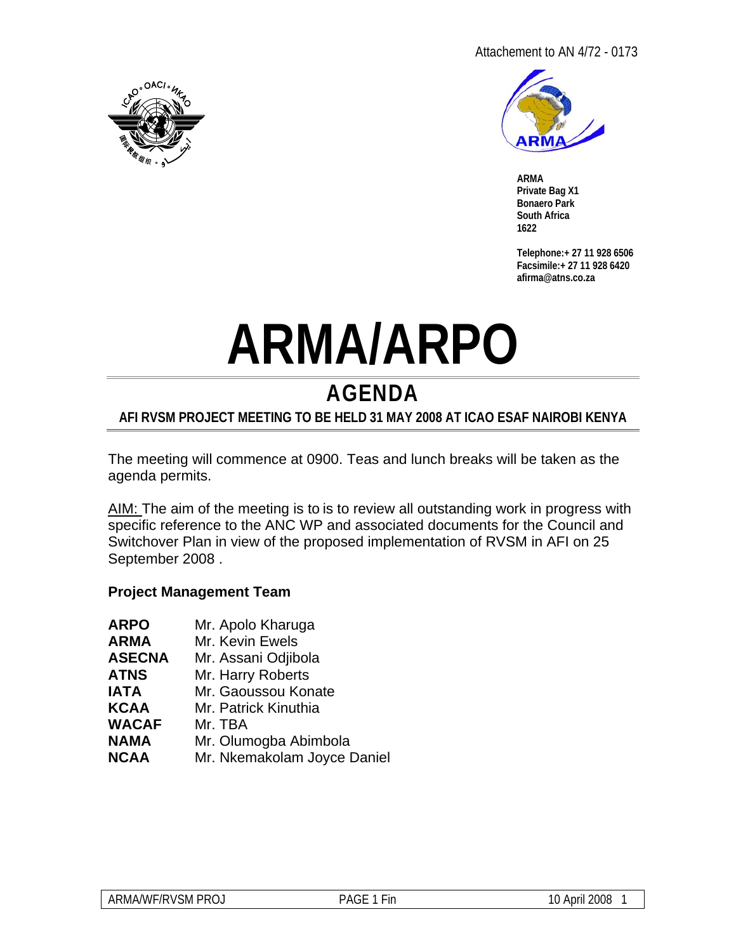



**ARMA Private Bag X1 Bonaero Park South Africa 1622** 

**Telephone:+ 27 11 928 6506 Facsimile:+ 27 11 928 6420 afirma@atns.co.za** 

# **ARMA/ARPO**

# **AGENDA**

## **AFI RVSM PROJECT MEETING TO BE HELD 31 MAY 2008 AT ICAO ESAF NAIROBI KENYA**

The meeting will commence at 0900. Teas and lunch breaks will be taken as the agenda permits.

AIM: The aim of the meeting is to is to review all outstanding work in progress with specific reference to the ANC WP and associated documents for the Council and Switchover Plan in view of the proposed implementation of RVSM in AFI on 25 September 2008 .

### **Project Management Team**

| <b>ARPO</b>  | Mr. Apolo Kharuga           |
|--------------|-----------------------------|
| ARMA         | Mr. Kevin Ewels             |
| ASECNA       | Mr. Assani Odjibola         |
| ATNS         | Mr. Harry Roberts           |
| IATA         | Mr. Gaoussou Konate         |
| KCAA         | Mr. Patrick Kinuthia        |
| <b>WACAF</b> | Mr. TBA                     |
| NAMA         | Mr. Olumogba Abimbola       |
| NCAA         | Mr. Nkemakolam Joyce Daniel |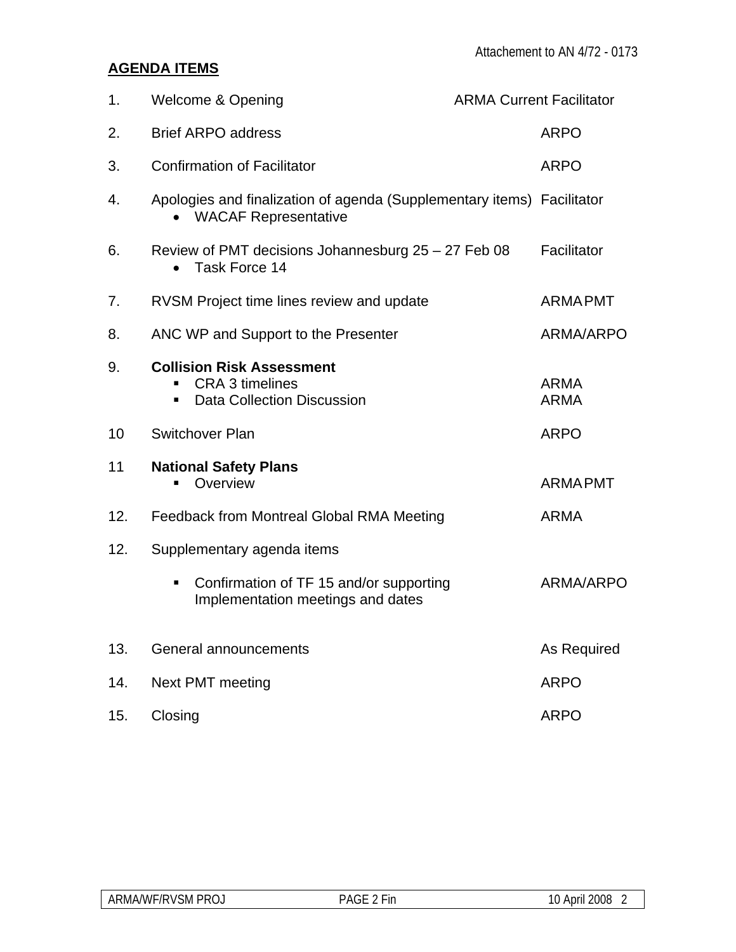# **AGENDA ITEMS**

| 1.  | <b>Welcome &amp; Opening</b>                                                                     | <b>ARMA Current Facilitator</b> |                            |
|-----|--------------------------------------------------------------------------------------------------|---------------------------------|----------------------------|
| 2.  | <b>Brief ARPO address</b>                                                                        |                                 | <b>ARPO</b>                |
| 3.  | <b>Confirmation of Facilitator</b>                                                               |                                 | <b>ARPO</b>                |
| 4.  | Apologies and finalization of agenda (Supplementary items) Facilitator<br>• WACAF Representative |                                 |                            |
| 6.  | Review of PMT decisions Johannesburg 25 - 27 Feb 08<br>Task Force 14                             |                                 | Facilitator                |
| 7.  | RVSM Project time lines review and update                                                        |                                 | <b>ARMAPMT</b>             |
| 8.  | ANC WP and Support to the Presenter                                                              |                                 | ARMA/ARPO                  |
| 9.  | <b>Collision Risk Assessment</b><br>CRA 3 timelines<br><b>Data Collection Discussion</b>         |                                 | <b>ARMA</b><br><b>ARMA</b> |
| 10  | <b>Switchover Plan</b>                                                                           |                                 | <b>ARPO</b>                |
| 11  | <b>National Safety Plans</b><br>Overview                                                         |                                 | <b>ARMAPMT</b>             |
| 12. | Feedback from Montreal Global RMA Meeting                                                        |                                 | <b>ARMA</b>                |
| 12. | Supplementary agenda items                                                                       |                                 |                            |
|     | Confirmation of TF 15 and/or supporting<br>п<br>Implementation meetings and dates                |                                 | ARMA/ARPO                  |
| 13. | General announcements                                                                            |                                 | As Required                |
| 14. | Next PMT meeting                                                                                 |                                 | <b>ARPO</b>                |
| 15. | Closing                                                                                          |                                 | <b>ARPO</b>                |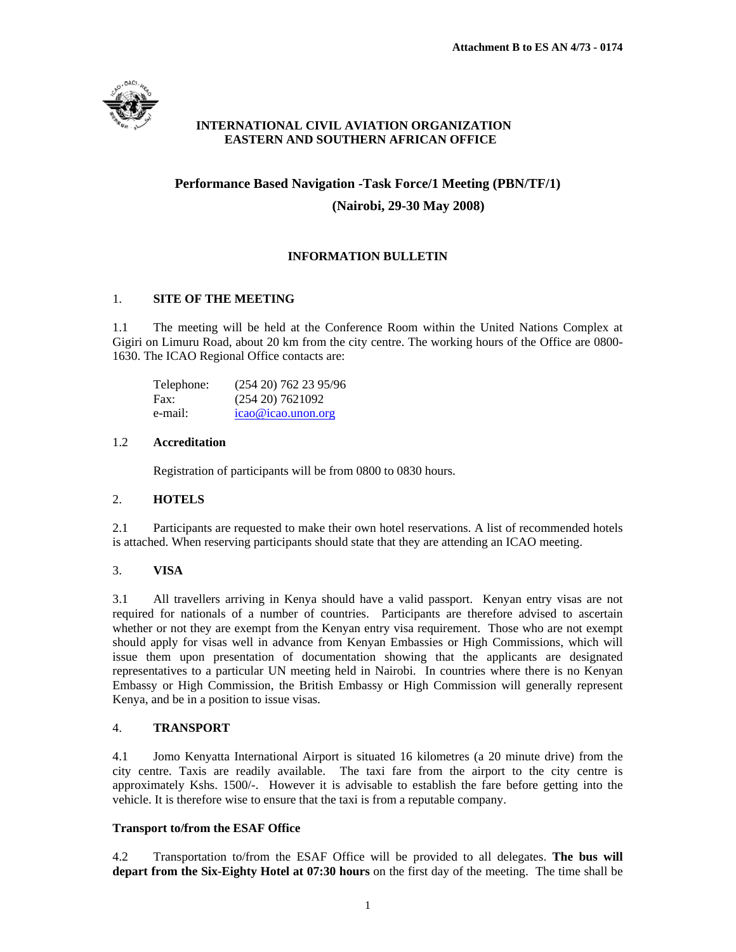

#### **INTERNATIONAL CIVIL AVIATION ORGANIZATION EASTERN AND SOUTHERN AFRICAN OFFICE**

# **Performance Based Navigation -Task Force/1 Meeting (PBN/TF/1)**

#### **(Nairobi, 29-30 May 2008)**

#### **INFORMATION BULLETIN**

#### 1. **SITE OF THE MEETING**

1.1 The meeting will be held at the Conference Room within the United Nations Complex at Gigiri on Limuru Road, about 20 km from the city centre. The working hours of the Office are 0800- 1630. The ICAO Regional Office contacts are:

| Telephone: | (254 20) 762 23 95/96 |
|------------|-----------------------|
| Fax:       | $(254\ 20)\ 7621092$  |
| e-mail:    | $icao@icao.$ unon.org |

#### 1.2 **Accreditation**

Registration of participants will be from 0800 to 0830 hours.

#### 2. **HOTELS**

2.1 Participants are requested to make their own hotel reservations. A list of recommended hotels is attached. When reserving participants should state that they are attending an ICAO meeting.

#### 3. **VISA**

3.1 All travellers arriving in Kenya should have a valid passport. Kenyan entry visas are not required for nationals of a number of countries. Participants are therefore advised to ascertain whether or not they are exempt from the Kenyan entry visa requirement. Those who are not exempt should apply for visas well in advance from Kenyan Embassies or High Commissions, which will issue them upon presentation of documentation showing that the applicants are designated representatives to a particular UN meeting held in Nairobi. In countries where there is no Kenyan Embassy or High Commission, the British Embassy or High Commission will generally represent Kenya, and be in a position to issue visas.

#### 4. **TRANSPORT**

4.1 Jomo Kenyatta International Airport is situated 16 kilometres (a 20 minute drive) from the city centre. Taxis are readily available. The taxi fare from the airport to the city centre is approximately Kshs. 1500/-. However it is advisable to establish the fare before getting into the vehicle. It is therefore wise to ensure that the taxi is from a reputable company.

#### **Transport to/from the ESAF Office**

4.2 Transportation to/from the ESAF Office will be provided to all delegates. **The bus will depart from the Six-Eighty Hotel at 07:30 hours** on the first day of the meeting. The time shall be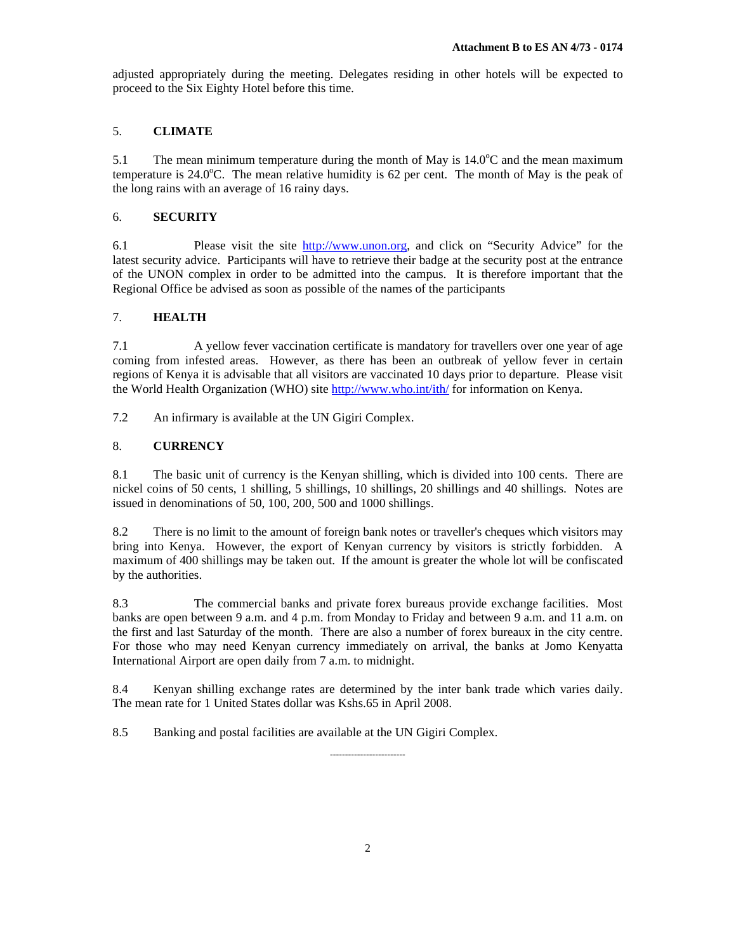adjusted appropriately during the meeting. Delegates residing in other hotels will be expected to proceed to the Six Eighty Hotel before this time.

#### 5. **CLIMATE**

5.1 The mean minimum temperature during the month of May is  $14.0^{\circ}$ C and the mean maximum temperature is  $24.0^{\circ}$ C. The mean relative humidity is 62 per cent. The month of May is the peak of the long rains with an average of 16 rainy days.

#### 6. **SECURITY**

6.1 Please visit the site http://www.unon.org, and click on "Security Advice" for the latest security advice. Participants will have to retrieve their badge at the security post at the entrance of the UNON complex in order to be admitted into the campus. It is therefore important that the Regional Office be advised as soon as possible of the names of the participants

#### 7. **HEALTH**

7.1 A yellow fever vaccination certificate is mandatory for travellers over one year of age coming from infested areas. However, as there has been an outbreak of yellow fever in certain regions of Kenya it is advisable that all visitors are vaccinated 10 days prior to departure. Please visit the World Health Organization (WHO) site http://www.who.int/ith/ for information on Kenya.

7.2 An infirmary is available at the UN Gigiri Complex.

#### 8. **CURRENCY**

8.1 The basic unit of currency is the Kenyan shilling, which is divided into 100 cents. There are nickel coins of 50 cents, 1 shilling, 5 shillings, 10 shillings, 20 shillings and 40 shillings. Notes are issued in denominations of 50, 100, 200, 500 and 1000 shillings.

8.2 There is no limit to the amount of foreign bank notes or traveller's cheques which visitors may bring into Kenya. However, the export of Kenyan currency by visitors is strictly forbidden. A maximum of 400 shillings may be taken out. If the amount is greater the whole lot will be confiscated by the authorities.

8.3 The commercial banks and private forex bureaus provide exchange facilities. Most banks are open between 9 a.m. and 4 p.m. from Monday to Friday and between 9 a.m. and 11 a.m. on the first and last Saturday of the month. There are also a number of forex bureaux in the city centre. For those who may need Kenyan currency immediately on arrival, the banks at Jomo Kenyatta International Airport are open daily from 7 a.m. to midnight.

8.4 Kenyan shilling exchange rates are determined by the inter bank trade which varies daily. The mean rate for 1 United States dollar was Kshs.65 in April 2008.

8.5 Banking and postal facilities are available at the UN Gigiri Complex.

-------------------------